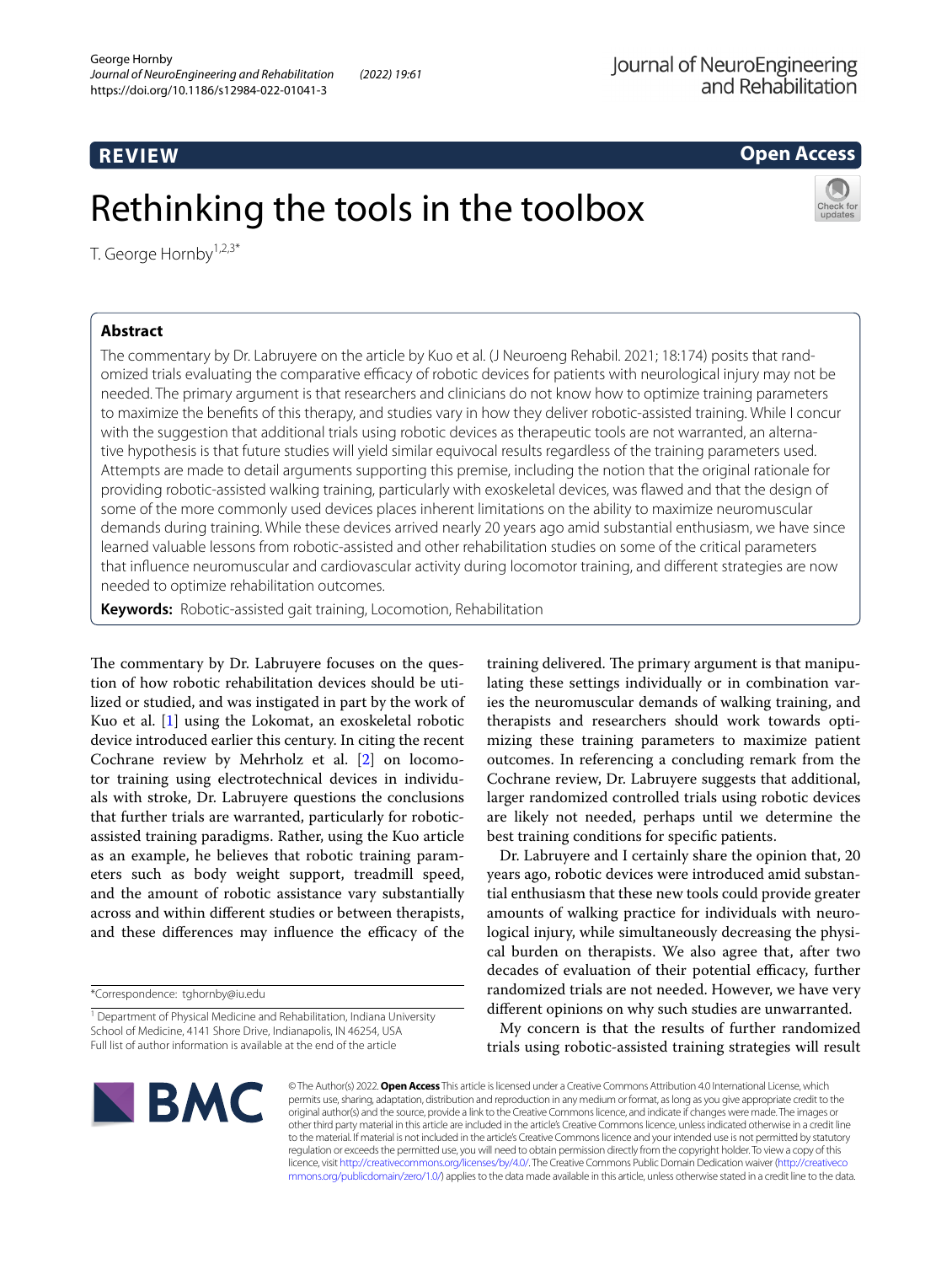# **REVIEW**

# **Open Access**



T. George Hornby<sup>1,2,3\*</sup>

# **Abstract**

The commentary by Dr. Labruyere on the article by Kuo et al. (J Neuroeng Rehabil. 2021; 18:174) posits that randomized trials evaluating the comparative efficacy of robotic devices for patients with neurological injury may not be needed. The primary argument is that researchers and clinicians do not know how to optimize training parameters to maximize the benefts of this therapy, and studies vary in how they deliver robotic-assisted training. While I concur with the suggestion that additional trials using robotic devices as therapeutic tools are not warranted, an alternative hypothesis is that future studies will yield similar equivocal results regardless of the training parameters used. Attempts are made to detail arguments supporting this premise, including the notion that the original rationale for providing robotic-assisted walking training, particularly with exoskeletal devices, was fawed and that the design of some of the more commonly used devices places inherent limitations on the ability to maximize neuromuscular demands during training. While these devices arrived nearly 20 years ago amid substantial enthusiasm, we have since learned valuable lessons from robotic-assisted and other rehabilitation studies on some of the critical parameters that infuence neuromuscular and cardiovascular activity during locomotor training, and diferent strategies are now needed to optimize rehabilitation outcomes.

**Keywords:** Robotic-assisted gait training, Locomotion, Rehabilitation

Rethinking the tools in the toolbox

The commentary by Dr. Labruyere focuses on the question of how robotic rehabilitation devices should be utilized or studied, and was instigated in part by the work of Kuo et al. [[1\]](#page-2-0) using the Lokomat, an exoskeletal robotic device introduced earlier this century. In citing the recent Cochrane review by Mehrholz et al. [[2](#page-2-1)] on locomotor training using electrotechnical devices in individuals with stroke, Dr. Labruyere questions the conclusions that further trials are warranted, particularly for roboticassisted training paradigms. Rather, using the Kuo article as an example, he believes that robotic training parameters such as body weight support, treadmill speed, and the amount of robotic assistance vary substantially across and within diferent studies or between therapists, and these differences may influence the efficacy of the

training delivered. The primary argument is that manipulating these settings individually or in combination varies the neuromuscular demands of walking training, and therapists and researchers should work towards optimizing these training parameters to maximize patient outcomes. In referencing a concluding remark from the Cochrane review, Dr. Labruyere suggests that additional, larger randomized controlled trials using robotic devices are likely not needed, perhaps until we determine the best training conditions for specifc patients.

Dr. Labruyere and I certainly share the opinion that, 20 years ago, robotic devices were introduced amid substantial enthusiasm that these new tools could provide greater amounts of walking practice for individuals with neurological injury, while simultaneously decreasing the physical burden on therapists. We also agree that, after two decades of evaluation of their potential efficacy, further randomized trials are not needed. However, we have very diferent opinions on why such studies are unwarranted.

My concern is that the results of further randomized trials using robotic-assisted training strategies will result



© The Author(s) 2022. **Open Access** This article is licensed under a Creative Commons Attribution 4.0 International License, which permits use, sharing, adaptation, distribution and reproduction in any medium or format, as long as you give appropriate credit to the original author(s) and the source, provide a link to the Creative Commons licence, and indicate if changes were made. The images or other third party material in this article are included in the article's Creative Commons licence, unless indicated otherwise in a credit line to the material. If material is not included in the article's Creative Commons licence and your intended use is not permitted by statutory regulation or exceeds the permitted use, you will need to obtain permission directly from the copyright holder. To view a copy of this licence, visit [http://creativecommons.org/licenses/by/4.0/.](http://creativecommons.org/licenses/by/4.0/) The Creative Commons Public Domain Dedication waiver ([http://creativeco](http://creativecommons.org/publicdomain/zero/1.0/) [mmons.org/publicdomain/zero/1.0/](http://creativecommons.org/publicdomain/zero/1.0/)) applies to the data made available in this article, unless otherwise stated in a credit line to the data.

<sup>\*</sup>Correspondence: tghornby@iu.edu

<sup>&</sup>lt;sup>1</sup> Department of Physical Medicine and Rehabilitation, Indiana University School of Medicine, 4141 Shore Drive, Indianapolis, IN 46254, USA Full list of author information is available at the end of the article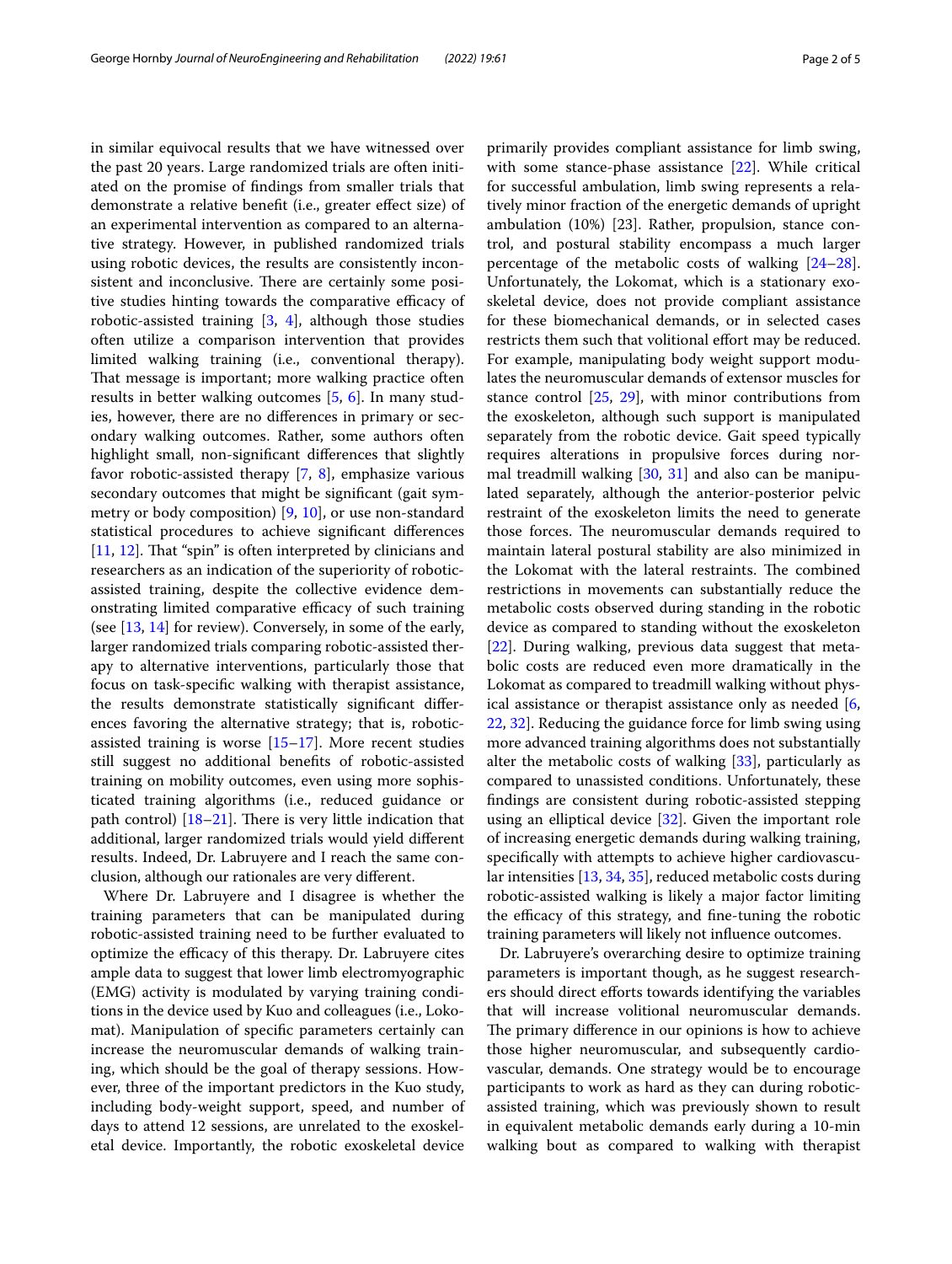in similar equivocal results that we have witnessed over the past 20 years. Large randomized trials are often initiated on the promise of fndings from smaller trials that demonstrate a relative beneft (i.e., greater efect size) of an experimental intervention as compared to an alternative strategy. However, in published randomized trials using robotic devices, the results are consistently inconsistent and inconclusive. There are certainly some positive studies hinting towards the comparative efficacy of robotic-assisted training [[3,](#page-2-2) [4\]](#page-3-0), although those studies often utilize a comparison intervention that provides limited walking training (i.e., conventional therapy). That message is important; more walking practice often results in better walking outcomes [\[5](#page-3-1), [6\]](#page-3-2). In many studies, however, there are no diferences in primary or secondary walking outcomes. Rather, some authors often highlight small, non-signifcant diferences that slightly favor robotic-assisted therapy [\[7](#page-3-3), [8](#page-3-4)], emphasize various secondary outcomes that might be signifcant (gait symmetry or body composition) [\[9,](#page-3-5) [10\]](#page-3-6), or use non-standard statistical procedures to achieve signifcant diferences [[11,](#page-3-7) [12](#page-3-8)]. That "spin" is often interpreted by clinicians and researchers as an indication of the superiority of roboticassisted training, despite the collective evidence demonstrating limited comparative efficacy of such training (see [[13](#page-3-9), [14](#page-3-10)] for review). Conversely, in some of the early, larger randomized trials comparing robotic-assisted therapy to alternative interventions, particularly those that focus on task-specifc walking with therapist assistance, the results demonstrate statistically signifcant diferences favoring the alternative strategy; that is, roboticassisted training is worse  $[15-17]$  $[15-17]$  $[15-17]$ . More recent studies still suggest no additional benefts of robotic-assisted training on mobility outcomes, even using more sophisticated training algorithms (i.e., reduced guidance or path control)  $[18–21]$  $[18–21]$ . There is very little indication that additional, larger randomized trials would yield diferent results. Indeed, Dr. Labruyere and I reach the same conclusion, although our rationales are very diferent.

Where Dr. Labruyere and I disagree is whether the training parameters that can be manipulated during robotic-assisted training need to be further evaluated to optimize the efficacy of this therapy. Dr. Labruyere cites ample data to suggest that lower limb electromyographic (EMG) activity is modulated by varying training conditions in the device used by Kuo and colleagues (i.e., Lokomat). Manipulation of specifc parameters certainly can increase the neuromuscular demands of walking training, which should be the goal of therapy sessions. However, three of the important predictors in the Kuo study, including body-weight support, speed, and number of days to attend 12 sessions, are unrelated to the exoskeletal device. Importantly, the robotic exoskeletal device primarily provides compliant assistance for limb swing, with some stance-phase assistance [[22](#page-3-15)]. While critical for successful ambulation, limb swing represents a relatively minor fraction of the energetic demands of upright ambulation (10%) [23]. Rather, propulsion, stance control, and postural stability encompass a much larger percentage of the metabolic costs of walking [[24](#page-3-16)[–28](#page-3-17)]. Unfortunately, the Lokomat, which is a stationary exoskeletal device, does not provide compliant assistance for these biomechanical demands, or in selected cases restricts them such that volitional effort may be reduced. For example, manipulating body weight support modulates the neuromuscular demands of extensor muscles for stance control [[25](#page-3-18), [29\]](#page-3-19), with minor contributions from the exoskeleton, although such support is manipulated separately from the robotic device. Gait speed typically requires alterations in propulsive forces during normal treadmill walking  $[30, 31]$  $[30, 31]$  $[30, 31]$  and also can be manipulated separately, although the anterior-posterior pelvic restraint of the exoskeleton limits the need to generate those forces. The neuromuscular demands required to maintain lateral postural stability are also minimized in the Lokomat with the lateral restraints. The combined restrictions in movements can substantially reduce the metabolic costs observed during standing in the robotic device as compared to standing without the exoskeleton [[22\]](#page-3-15). During walking, previous data suggest that metabolic costs are reduced even more dramatically in the Lokomat as compared to treadmill walking without physical assistance or therapist assistance only as needed [\[6](#page-3-2), [22,](#page-3-15) [32](#page-3-22)]. Reducing the guidance force for limb swing using more advanced training algorithms does not substantially alter the metabolic costs of walking [[33\]](#page-3-23), particularly as compared to unassisted conditions. Unfortunately, these fndings are consistent during robotic-assisted stepping using an elliptical device [[32](#page-3-22)]. Given the important role of increasing energetic demands during walking training, specifcally with attempts to achieve higher cardiovascular intensities [[13,](#page-3-9) [34,](#page-3-24) [35](#page-3-25)], reduced metabolic costs during robotic-assisted walking is likely a major factor limiting the efficacy of this strategy, and fine-tuning the robotic training parameters will likely not infuence outcomes.

Dr. Labruyere's overarching desire to optimize training parameters is important though, as he suggest researchers should direct efforts towards identifying the variables that will increase volitional neuromuscular demands. The primary difference in our opinions is how to achieve those higher neuromuscular, and subsequently cardiovascular, demands. One strategy would be to encourage participants to work as hard as they can during roboticassisted training, which was previously shown to result in equivalent metabolic demands early during a 10-min walking bout as compared to walking with therapist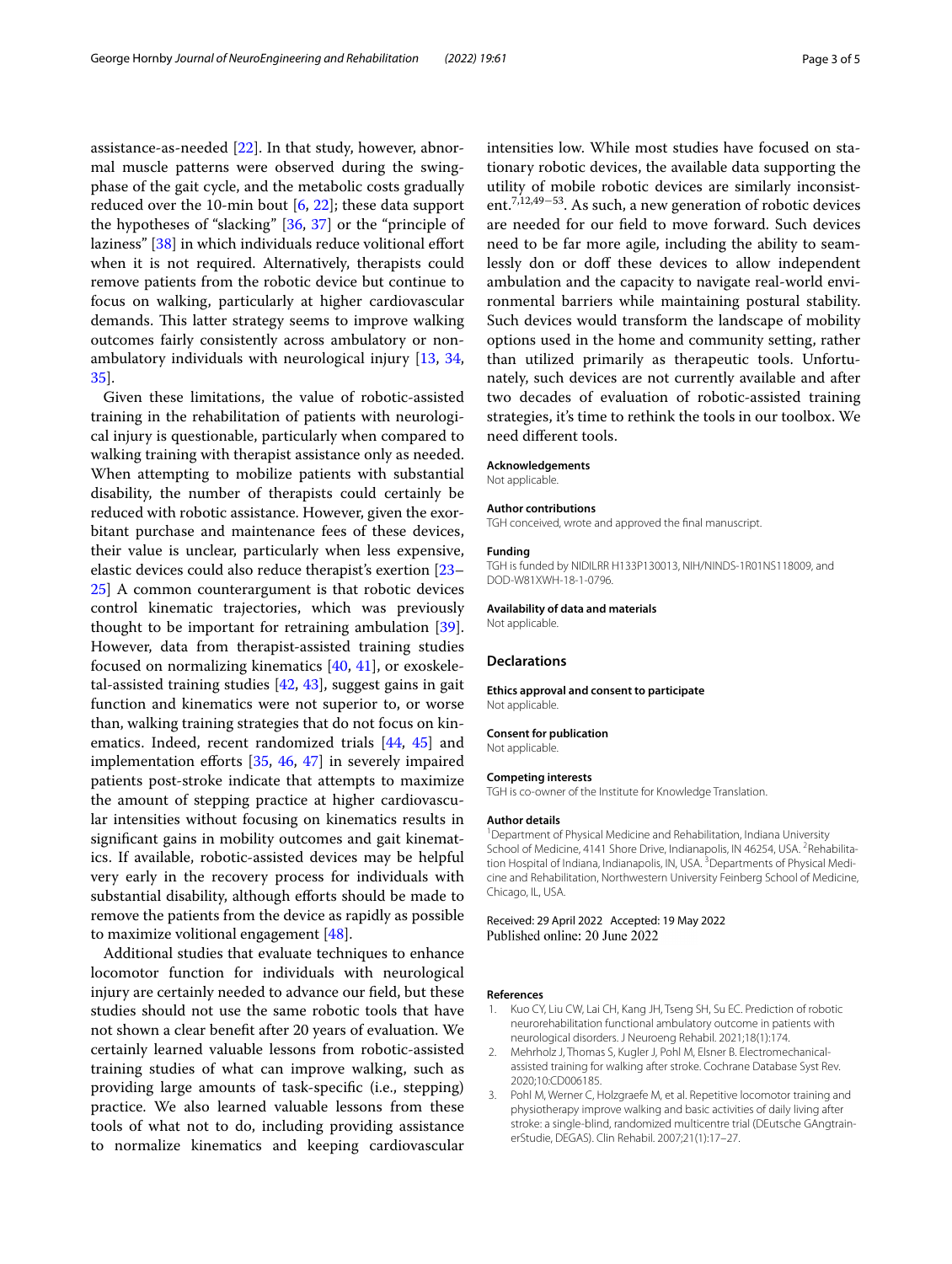assistance-as-needed [[22\]](#page-3-15). In that study, however, abnormal muscle patterns were observed during the swingphase of the gait cycle, and the metabolic costs gradually reduced over the 10-min bout [\[6](#page-3-2), [22](#page-3-15)]; these data support the hypotheses of "slacking" [[36](#page-3-26), [37\]](#page-3-27) or the "principle of laziness" [[38](#page-3-28)] in which individuals reduce volitional effort when it is not required. Alternatively, therapists could remove patients from the robotic device but continue to focus on walking, particularly at higher cardiovascular demands. This latter strategy seems to improve walking outcomes fairly consistently across ambulatory or nonambulatory individuals with neurological injury [[13,](#page-3-9) [34](#page-3-24), [35\]](#page-3-25).

Given these limitations, the value of robotic-assisted training in the rehabilitation of patients with neurological injury is questionable, particularly when compared to walking training with therapist assistance only as needed. When attempting to mobilize patients with substantial disability, the number of therapists could certainly be reduced with robotic assistance. However, given the exorbitant purchase and maintenance fees of these devices, their value is unclear, particularly when less expensive, elastic devices could also reduce therapist's exertion [[23–](#page-3-29) [25\]](#page-3-18) A common counterargument is that robotic devices control kinematic trajectories, which was previously thought to be important for retraining ambulation [\[39](#page-3-30)]. However, data from therapist-assisted training studies focused on normalizing kinematics [[40,](#page-3-31) [41\]](#page-3-32), or exoskeletal-assisted training studies [[42,](#page-3-33) [43\]](#page-3-34), suggest gains in gait function and kinematics were not superior to, or worse than, walking training strategies that do not focus on kinematics. Indeed, recent randomized trials [[44](#page-3-35), [45\]](#page-3-36) and implementation efforts  $[35, 46, 47]$  $[35, 46, 47]$  $[35, 46, 47]$  $[35, 46, 47]$  $[35, 46, 47]$  $[35, 46, 47]$  in severely impaired patients post-stroke indicate that attempts to maximize the amount of stepping practice at higher cardiovascular intensities without focusing on kinematics results in signifcant gains in mobility outcomes and gait kinematics. If available, robotic-assisted devices may be helpful very early in the recovery process for individuals with substantial disability, although efforts should be made to remove the patients from the device as rapidly as possible to maximize volitional engagement [\[48](#page-4-0)].

Additional studies that evaluate techniques to enhance locomotor function for individuals with neurological injury are certainly needed to advance our feld, but these studies should not use the same robotic tools that have not shown a clear beneft after 20 years of evaluation. We certainly learned valuable lessons from robotic-assisted training studies of what can improve walking, such as providing large amounts of task-specifc (i.e., stepping) practice. We also learned valuable lessons from these tools of what not to do, including providing assistance to normalize kinematics and keeping cardiovascular intensities low. While most studies have focused on stationary robotic devices, the available data supporting the utility of mobile robotic devices are similarly inconsistent.7,12,49−53. As such, a new generation of robotic devices are needed for our feld to move forward. Such devices need to be far more agile, including the ability to seamlessly don or doff these devices to allow independent ambulation and the capacity to navigate real-world environmental barriers while maintaining postural stability. Such devices would transform the landscape of mobility options used in the home and community setting, rather than utilized primarily as therapeutic tools. Unfortunately, such devices are not currently available and after two decades of evaluation of robotic-assisted training strategies, it's time to rethink the tools in our toolbox. We need diferent tools.

#### **Acknowledgements**

Not applicable.

#### **Author contributions**

TGH conceived, wrote and approved the fnal manuscript.

# **Funding**

TGH is funded by NIDILRR H133P130013, NIH/NINDS-1R01NS118009, and DOD-W81XWH-18-1-0796.

#### **Availability of data and materials**

Not applicable.

## **Declarations**

#### **Ethics approval and consent to participate** Not applicable.

**Consent for publication**

Not applicable.

#### **Competing interests**

TGH is co-owner of the Institute for Knowledge Translation.

#### **Author details**

<sup>1</sup> Department of Physical Medicine and Rehabilitation, Indiana University School of Medicine, 4141 Shore Drive, Indianapolis, IN 46254, USA. <sup>2</sup>Rehabilitation Hospital of Indiana, Indianapolis, IN, USA. <sup>3</sup> Departments of Physical Medicine and Rehabilitation, Northwestern University Feinberg School of Medicine, Chicago, IL, USA.

## Received: 29 April 2022 Accepted: 19 May 2022 Published online: 20 June 2022

#### **References**

- <span id="page-2-0"></span>Kuo CY, Liu CW, Lai CH, Kang JH, Tseng SH, Su EC. Prediction of robotic neurorehabilitation functional ambulatory outcome in patients with neurological disorders. J Neuroeng Rehabil. 2021;18(1):174.
- <span id="page-2-1"></span>2. Mehrholz J, Thomas S, Kugler J, Pohl M, Elsner B. Electromechanicalassisted training for walking after stroke. Cochrane Database Syst Rev. 2020;10:CD006185.
- <span id="page-2-2"></span>3. Pohl M, Werner C, Holzgraefe M, et al. Repetitive locomotor training and physiotherapy improve walking and basic activities of daily living after stroke: a single-blind, randomized multicentre trial (DEutsche GAngtrainerStudie, DEGAS). Clin Rehabil. 2007;21(1):17–27.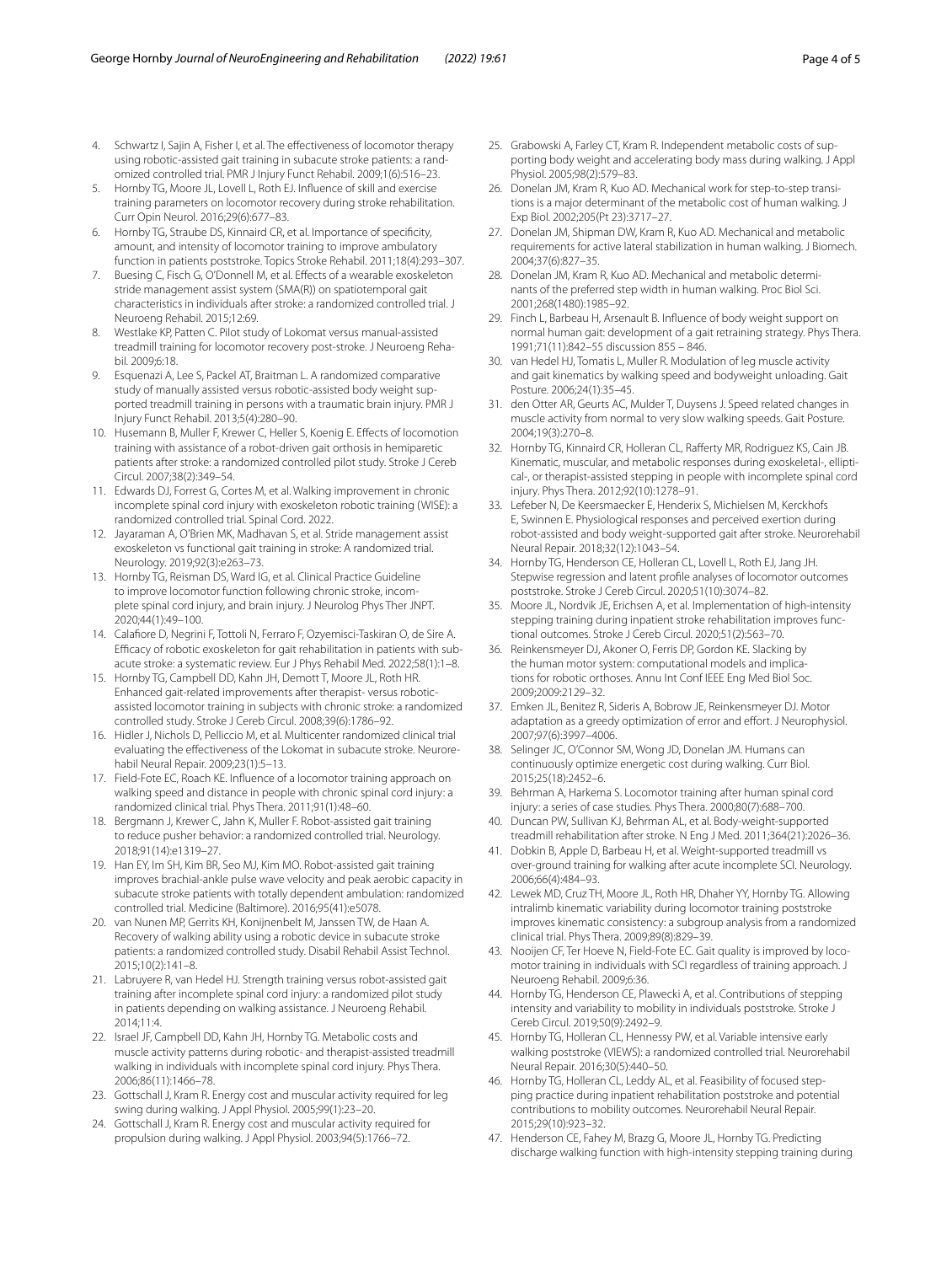- <span id="page-3-0"></span>4. Schwartz I, Sajin A, Fisher I, et al. The efectiveness of locomotor therapy using robotic-assisted gait training in subacute stroke patients: a randomized controlled trial. PMR J Injury Funct Rehabil. 2009;1(6):516–23.
- <span id="page-3-1"></span>5. Hornby TG, Moore JL, Lovell L, Roth EJ. Infuence of skill and exercise training parameters on locomotor recovery during stroke rehabilitation. Curr Opin Neurol. 2016;29(6):677–83.
- <span id="page-3-2"></span>6. Hornby TG, Straube DS, Kinnaird CR, et al. Importance of specifcity, amount, and intensity of locomotor training to improve ambulatory function in patients poststroke. Topics Stroke Rehabil. 2011;18(4):293–307.
- <span id="page-3-3"></span>7. Buesing C, Fisch G, O'Donnell M, et al. Effects of a wearable exoskeleton stride management assist system (SMA(R)) on spatiotemporal gait characteristics in individuals after stroke: a randomized controlled trial. J Neuroeng Rehabil. 2015;12:69.
- <span id="page-3-4"></span>8. Westlake KP, Patten C. Pilot study of Lokomat versus manual-assisted treadmill training for locomotor recovery post-stroke. J Neuroeng Rehabil. 2009;6:18.
- <span id="page-3-5"></span>9. Esquenazi A, Lee S, Packel AT, Braitman L. A randomized comparative study of manually assisted versus robotic-assisted body weight supported treadmill training in persons with a traumatic brain injury. PMR J Injury Funct Rehabil. 2013;5(4):280–90.
- <span id="page-3-6"></span>10. Husemann B, Muller F, Krewer C, Heller S, Koenig E. Efects of locomotion training with assistance of a robot-driven gait orthosis in hemiparetic patients after stroke: a randomized controlled pilot study. Stroke J Cereb Circul. 2007;38(2):349–54.
- <span id="page-3-7"></span>11. Edwards DJ, Forrest G, Cortes M, et al. Walking improvement in chronic incomplete spinal cord injury with exoskeleton robotic training (WISE): a randomized controlled trial. Spinal Cord. 2022.
- <span id="page-3-8"></span>12. Jayaraman A, O'Brien MK, Madhavan S, et al. Stride management assist exoskeleton vs functional gait training in stroke: A randomized trial. Neurology. 2019;92(3):e263–73.
- <span id="page-3-9"></span>13. Hornby TG, Reisman DS, Ward IG, et al. Clinical Practice Guideline to improve locomotor function following chronic stroke, incomplete spinal cord injury, and brain injury. J Neurolog Phys Ther JNPT. 2020;44(1):49–100.
- <span id="page-3-10"></span>14. Calafore D, Negrini F, Tottoli N, Ferraro F, Ozyemisci-Taskiran O, de Sire A. Efficacy of robotic exoskeleton for gait rehabilitation in patients with subacute stroke: a systematic review. Eur J Phys Rehabil Med. 2022;58(1):1–8.
- <span id="page-3-11"></span>15. Hornby TG, Campbell DD, Kahn JH, Demott T, Moore JL, Roth HR. Enhanced gait-related improvements after therapist- versus roboticassisted locomotor training in subjects with chronic stroke: a randomized controlled study. Stroke J Cereb Circul. 2008;39(6):1786–92.
- 16. Hidler J, Nichols D, Pelliccio M, et al. Multicenter randomized clinical trial evaluating the effectiveness of the Lokomat in subacute stroke. Neurorehabil Neural Repair. 2009;23(1):5–13.
- <span id="page-3-12"></span>17. Field-Fote EC, Roach KE. Infuence of a locomotor training approach on walking speed and distance in people with chronic spinal cord injury: a randomized clinical trial. Phys Thera. 2011;91(1):48–60.
- <span id="page-3-13"></span>18. Bergmann J, Krewer C, Jahn K, Muller F. Robot-assisted gait training to reduce pusher behavior: a randomized controlled trial. Neurology. 2018;91(14):e1319–27.
- 19. Han EY, Im SH, Kim BR, Seo MJ, Kim MO. Robot-assisted gait training improves brachial-ankle pulse wave velocity and peak aerobic capacity in subacute stroke patients with totally dependent ambulation: randomized controlled trial. Medicine (Baltimore). 2016;95(41):e5078.
- 20. van Nunen MP, Gerrits KH, Konijnenbelt M, Janssen TW, de Haan A. Recovery of walking ability using a robotic device in subacute stroke patients: a randomized controlled study. Disabil Rehabil Assist Technol. 2015;10(2):141–8.
- <span id="page-3-14"></span>21. Labruyere R, van Hedel HJ. Strength training versus robot-assisted gait training after incomplete spinal cord injury: a randomized pilot study in patients depending on walking assistance. J Neuroeng Rehabil. 2014;11:4.
- <span id="page-3-15"></span>22. Israel JF, Campbell DD, Kahn JH, Hornby TG. Metabolic costs and muscle activity patterns during robotic- and therapist-assisted treadmill walking in individuals with incomplete spinal cord injury. Phys Thera. 2006;86(11):1466–78.
- <span id="page-3-29"></span>23. Gottschall J, Kram R. Energy cost and muscular activity required for leg swing during walking. J Appl Physiol. 2005;99(1):23–20.
- <span id="page-3-16"></span>24. Gottschall J, Kram R. Energy cost and muscular activity required for propulsion during walking. J Appl Physiol. 2003;94(5):1766–72.
- <span id="page-3-18"></span>25. Grabowski A, Farley CT, Kram R. Independent metabolic costs of supporting body weight and accelerating body mass during walking. J Appl Physiol. 2005;98(2):579–83.
- 26. Donelan JM, Kram R, Kuo AD. Mechanical work for step-to-step transitions is a major determinant of the metabolic cost of human walking. J Exp Biol. 2002;205(Pt 23):3717–27.
- 27. Donelan JM, Shipman DW, Kram R, Kuo AD. Mechanical and metabolic requirements for active lateral stabilization in human walking. J Biomech. 2004;37(6):827–35.
- <span id="page-3-17"></span>28. Donelan JM, Kram R, Kuo AD. Mechanical and metabolic determinants of the preferred step width in human walking. Proc Biol Sci. 2001;268(1480):1985–92.
- <span id="page-3-19"></span>29. Finch L, Barbeau H, Arsenault B. Infuence of body weight support on normal human gait: development of a gait retraining strategy. Phys Thera. 1991;71(11):842–55 discussion 855 – 846.
- <span id="page-3-20"></span>30. van Hedel HJ, Tomatis L, Muller R. Modulation of leg muscle activity and gait kinematics by walking speed and bodyweight unloading. Gait Posture. 2006;24(1):35–45.
- <span id="page-3-21"></span>31. den Otter AR, Geurts AC, Mulder T, Duysens J. Speed related changes in muscle activity from normal to very slow walking speeds. Gait Posture. 2004;19(3):270–8.
- <span id="page-3-22"></span>32. Hornby TG, Kinnaird CR, Holleran CL, Raferty MR, Rodriguez KS, Cain JB. Kinematic, muscular, and metabolic responses during exoskeletal-, elliptical-, or therapist-assisted stepping in people with incomplete spinal cord injury. Phys Thera. 2012;92(10):1278–91.
- <span id="page-3-23"></span>33. Lefeber N, De Keersmaecker E, Henderix S, Michielsen M, Kerckhofs E, Swinnen E. Physiological responses and perceived exertion during robot-assisted and body weight-supported gait after stroke. Neurorehabil Neural Repair. 2018;32(12):1043–54.
- <span id="page-3-24"></span>34. Hornby TG, Henderson CE, Holleran CL, Lovell L, Roth EJ, Jang JH. Stepwise regression and latent profle analyses of locomotor outcomes poststroke. Stroke J Cereb Circul. 2020;51(10):3074–82.
- <span id="page-3-25"></span>35. Moore JL, Nordvik JE, Erichsen A, et al. Implementation of high-intensity stepping training during inpatient stroke rehabilitation improves functional outcomes. Stroke J Cereb Circul. 2020;51(2):563–70.
- <span id="page-3-26"></span>36. Reinkensmeyer DJ, Akoner O, Ferris DP, Gordon KE. Slacking by the human motor system: computational models and implications for robotic orthoses. Annu Int Conf IEEE Eng Med Biol Soc. 2009;2009:2129–32.
- <span id="page-3-27"></span>37. Emken JL, Benitez R, Sideris A, Bobrow JE, Reinkensmeyer DJ. Motor adaptation as a greedy optimization of error and effort. J Neurophysiol. 2007;97(6):3997–4006.
- <span id="page-3-28"></span>38. Selinger JC, O'Connor SM, Wong JD, Donelan JM. Humans can continuously optimize energetic cost during walking. Curr Biol. 2015;25(18):2452–6.
- <span id="page-3-30"></span>39. Behrman A, Harkema S. Locomotor training after human spinal cord injury: a series of case studies. Phys Thera. 2000;80(7):688–700.
- <span id="page-3-31"></span>40. Duncan PW, Sullivan KJ, Behrman AL, et al. Body-weight-supported treadmill rehabilitation after stroke. N Eng J Med. 2011;364(21):2026–36.
- <span id="page-3-32"></span>41. Dobkin B, Apple D, Barbeau H, et al. Weight-supported treadmill vs over-ground training for walking after acute incomplete SCI. Neurology. 2006;66(4):484–93.
- <span id="page-3-33"></span>42. Lewek MD, Cruz TH, Moore JL, Roth HR, Dhaher YY, Hornby TG. Allowing intralimb kinematic variability during locomotor training poststroke improves kinematic consistency: a subgroup analysis from a randomized clinical trial. Phys Thera. 2009;89(8):829–39.
- <span id="page-3-34"></span>43. Nooijen CF, Ter Hoeve N, Field-Fote EC. Gait quality is improved by locomotor training in individuals with SCI regardless of training approach. J Neuroeng Rehabil. 2009;6:36.
- <span id="page-3-35"></span>44. Hornby TG, Henderson CE, Plawecki A, et al. Contributions of stepping intensity and variability to mobility in individuals poststroke. Stroke J Cereb Circul. 2019;50(9):2492–9.
- <span id="page-3-36"></span>45. Hornby TG, Holleran CL, Hennessy PW, et al. Variable intensive early walking poststroke (VIEWS): a randomized controlled trial. Neurorehabil Neural Repair. 2016;30(5):440–50.
- <span id="page-3-37"></span>46. Hornby TG, Holleran CL, Leddy AL, et al. Feasibility of focused stepping practice during inpatient rehabilitation poststroke and potential contributions to mobility outcomes. Neurorehabil Neural Repair. 2015;29(10):923–32.
- <span id="page-3-38"></span>47. Henderson CE, Fahey M, Brazg G, Moore JL, Hornby TG. Predicting discharge walking function with high-intensity stepping training during